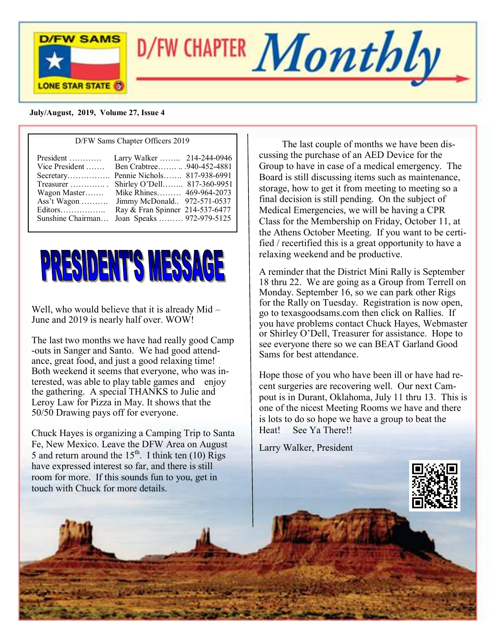

#### **July/August, 2019, Volume 27, Issue 4**

| D/FW Sams Chapter Officers 2019                                                                                                                                                           |                                                                                                                                                                                                                  |  |  |
|-------------------------------------------------------------------------------------------------------------------------------------------------------------------------------------------|------------------------------------------------------------------------------------------------------------------------------------------------------------------------------------------------------------------|--|--|
| President<br>Vice President<br>Secretary Pennie Nichols 817-938-6991<br>Treasurer $\dots\dots\dots\dots$<br>Wagon Master<br>Ass't Wagon $\dots\dots\dots$<br>Editors<br>Sunshine Chairman | Larry Walker  214-244-0946<br>Ben Crabtree940-452-4881<br>Shirley O'Dell 817-360-9951<br>Mike Rhines 469-964-2073<br>Jimmy McDonald 972-571-0537<br>Ray & Fran Spinner 214-537-6477<br>Joan Speaks  972-979-5125 |  |  |



Well, who would believe that it is already Mid – June and 2019 is nearly half over. WOW!

The last two months we have had really good Camp -outs in Sanger and Santo. We had good attendance, great food, and just a good relaxing time! Both weekend it seems that everyone, who was interested, was able to play table games and enjoy the gathering. A special THANKS to Julie and Leroy Law for Pizza in May. It shows that the 50/50 Drawing pays off for everyone.

Chuck Hayes is organizing a Camping Trip to Santa Fe, New Mexico. Leave the DFW Area on August 5 and return around the  $15<sup>th</sup>$ . I think ten (10) Rigs have expressed interest so far, and there is still room for more. If this sounds fun to you, get in touch with Chuck for more details.

The last couple of months we have been discussing the purchase of an AED Device for the Group to have in case of a medical emergency. The Board is still discussing items such as maintenance, storage, how to get it from meeting to meeting so a final decision is still pending. On the subject of Medical Emergencies, we will be having a CPR Class for the Membership on Friday, October 11, at the Athens October Meeting. If you want to be certified / recertified this is a great opportunity to have a relaxing weekend and be productive.

A reminder that the District Mini Rally is September 18 thru 22. We are going as a Group from Terrell on Monday. September 16, so we can park other Rigs for the Rally on Tuesday. Registration is now open, go to texasgoodsams.com then click on Rallies. If you have problems contact Chuck Hayes, Webmaster or Shirley O'Dell, Treasurer for assistance. Hope to see everyone there so we can BEAT Garland Good Sams for best attendance.

Hope those of you who have been ill or have had recent surgeries are recovering well. Our next Campout is in Durant, Oklahoma, July 11 thru 13. This is one of the nicest Meeting Rooms we have and there is lots to do so hope we have a group to beat the Heat! See Ya There!!

Larry Walker, President

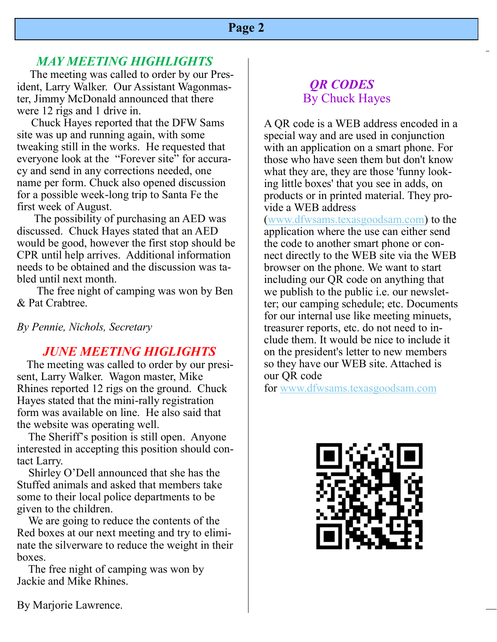### **Page 2**

## *MAY MEETING HIGHLIGHTS*

The meeting was called to order by our President, Larry Walker. Our Assistant Wagonmaster, Jimmy McDonald announced that there were 12 rigs and 1 drive in.

 Chuck Hayes reported that the DFW Sams site was up and running again, with some tweaking still in the works. He requested that everyone look at the "Forever site" for accuracy and send in any corrections needed, one name per form. Chuck also opened discussion for a possible week-long trip to Santa Fe the first week of August.

 The possibility of purchasing an AED was discussed. Chuck Hayes stated that an AED would be good, however the first stop should be CPR until help arrives. Additional information needs to be obtained and the discussion was tabled until next month.

 The free night of camping was won by Ben & Pat Crabtree.

*By Pennie, Nichols, Secretary*

#### *JUNE MEETING HIGLIGHTS*

 The meeting was called to order by our presisent, Larry Walker. Wagon master, Mike Rhines reported 12 rigs on the ground. Chuck Hayes stated that the mini-rally registration form was available on line. He also said that the website was operating well.

 The Sheriff's position is still open. Anyone interested in accepting this position should contact Larry.

 Shirley O'Dell announced that she has the Stuffed animals and asked that members take some to their local police departments to be given to the children.

 We are going to reduce the contents of the Red boxes at our next meeting and try to eliminate the silverware to reduce the weight in their boxes.

 The free night of camping was won by Jackie and Mike Rhines.

# *QR CODES* By Chuck Hayes

A QR code is a WEB address encoded in a special way and are used in conjunction with an application on a smart phone. For those who have seen them but don't know what they are, they are those 'funny looking little boxes' that you see in adds, on products or in printed material. They provide a WEB address

([www.dfwsams.texasgoodsam.com\)](http://www.dfwsams.texasgoodsam.com/) to the application where the use can either send the code to another smart phone or connect directly to the WEB site via the WEB browser on the phone. We want to start including our QR code on anything that we publish to the public i.e. our newsletter; our camping schedule; etc. Documents for our internal use like meeting minuets, treasurer reports, etc. do not need to include them. It would be nice to include it on the president's letter to new members so they have our WEB site. Attached is our QR code

for [www.dfwsams.texasgoodsam.com](http://www.dfwsams.texasgoodsam.com/)



By Marjorie Lawrence.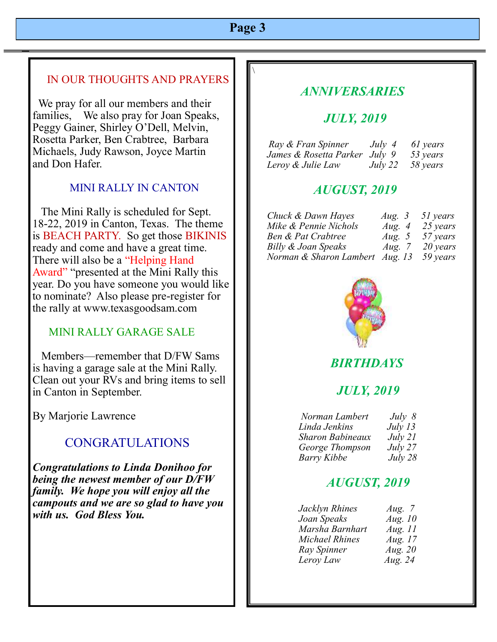# **Page 3**

 $\setminus$ 

#### IN OUR THOUGHTS AND PRAYERS

 We pray for all our members and their families, We also pray for Joan Speaks, Peggy Gainer, Shirley O'Dell, Melvin, Rosetta Parker, Ben Crabtree, Barbara Michaels, Judy Rawson, Joyce Martin and Don Hafer.

#### MINI RALLY IN CANTON

 The Mini Rally is scheduled for Sept. 18-22, 2019 in Canton, Texas. The theme is BEACH PARTY. So get those BIKINIS ready and come and have a great time. There will also be a "Helping Hand Award" "presented at the Mini Rally this year. Do you have someone you would like to nominate? Also please pre-register for the rally at www.texasgoodsam.com

#### MINI RALLY GARAGE SALE

 Members—remember that D/FW Sams is having a garage sale at the Mini Rally. Clean out your RVs and bring items to sell in Canton in September.

By Marjorie Lawrence

## CONGRATULATIONS

*Congratulations to Linda Donihoo for being the newest member of our D/FW family. We hope you will enjoy all the campouts and we are so glad to have you with us. God Bless You.*

## *ANNIVERSARIES*

### *JULY, 2019*

| Ray & Fran Spinner            | July 4  | 61 years |
|-------------------------------|---------|----------|
| James & Rosetta Parker July 9 |         | 53 years |
| Leroy & Julie Law             | July 22 | 58 years |

### *AUGUST, 2019*

| Chuck & Dawn Hayes              | Aug. $3$ | 51 years |
|---------------------------------|----------|----------|
| Mike & Pennie Nichols           | Aug. $4$ | 25 years |
| Ben & Pat Crabtree              | Aug. $5$ | 57 years |
| Billy & Joan Speaks             | Aug. $7$ | 20 years |
| Norman & Sharon Lambert Aug. 13 |          | 59 years |



## *BIRTHDAYS*

#### *JULY, 2019*

| Norman Lambert          | July 8    |
|-------------------------|-----------|
| Linda Jenkins           | July $13$ |
| <b>Sharon Babineaux</b> | July 21   |
| George Thompson         | July 27   |
| <b>Barry Kibbe</b>      | July 28   |

## *AUGUST, 2019*

| Jacklyn Rhines        | Aug. $7$  |
|-----------------------|-----------|
| Joan Speaks           | Aug. $10$ |
| Marsha Barnhart       | Aug. $11$ |
| <b>Michael Rhines</b> | Aug. $17$ |
| Ray Spinner           | Aug. $20$ |
| Leroy Law             | Aug. $24$ |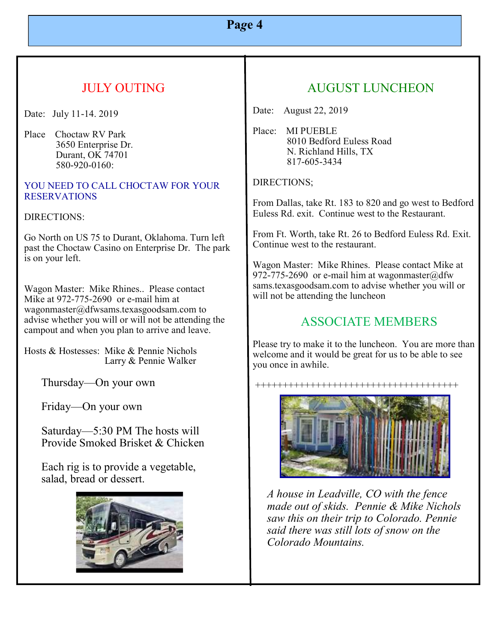# **Pa***g***e 4**

# JULY OUTING

Date: July 11-14. 2019

Place Choctaw RV Park 3650 Enterprise Dr. Durant, OK 74701 580-920-0160:

#### YOU NEED TO CALL CHOCTAW FOR YOUR **RESERVATIONS**

#### DIRECTIONS:

Go North on US 75 to Durant, Oklahoma. Turn left past the Choctaw Casino on Enterprise Dr. The park is on your left.

Wagon Master: Mike Rhines.. Please contact Mike at 972-775-2690 or e-mail him at wagonmaster@dfwsams.texasgoodsam.com to advise whether you will or will not be attending the campout and when you plan to arrive and leave.

Hosts & Hostesses: Mike & Pennie Nichols Larry & Pennie Walker

Thursday—On your own

Friday—On your own

 Saturday—5:30 PM The hosts will Provide Smoked Brisket & Chicken

 Each rig is to provide a vegetable, salad, bread or dessert.



# AUGUST LUNCHEON

Date: August 22, 2019

Place: MI PUEBLE 8010 Bedford Euless Road N. Richland Hills, TX 817-605-3434

DIRECTIONS;

From Dallas, take Rt. 183 to 820 and go west to Bedford Euless Rd. exit. Continue west to the Restaurant.

From Ft. Worth, take Rt. 26 to Bedford Euless Rd. Exit. Continue west to the restaurant.

Wagon Master: Mike Rhines. Please contact Mike at 972-775-2690 or e-mail him at wagonmaster@dfw sams.texasgoodsam.com to advise whether you will or will not be attending the luncheon

## ASSOCIATE MEMBERS

Please try to make it to the luncheon. You are more than welcome and it would be great for us to be able to see you once in awhile.

+++++++++++++++++++++++++++++++++++++



*A house in Leadville, CO with the fence made out of skids. Pennie & Mike Nichols saw this on their trip to Colorado. Pennie said there was still lots of snow on the Colorado Mountains.*